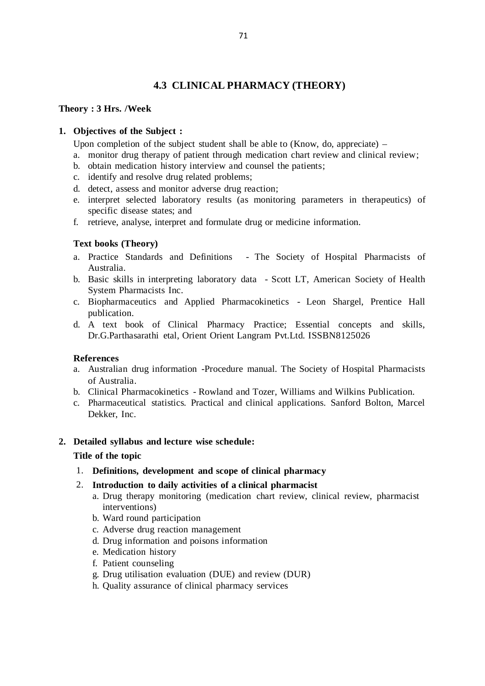# **4.3 CLINICAL PHARMACY (THEORY)**

#### **Theory : 3 Hrs. /Week**

# **1. Objectives of the Subject :**

Upon completion of the subject student shall be able to (Know, do, appreciate)  $-$ 

- a. monitor drug therapy of patient through medication chart review and clinical review;
- b. obtain medication history interview and counsel the patients;
- c. identify and resolve drug related problems;
- d. detect, assess and monitor adverse drug reaction;
- e. interpret selected laboratory results (as monitoring parameters in therapeutics) of specific disease states; and
- f. retrieve, analyse, interpret and formulate drug or medicine information.

#### **Text books (Theory)**

- a. Practice Standards and Definitions The Society of Hospital Pharmacists of Australia.
- b. Basic skills in interpreting laboratory data Scott LT, American Society of Health System Pharmacists Inc.
- c. Biopharmaceutics and Applied Pharmacokinetics Leon Shargel, Prentice Hall publication.
- d. A text book of Clinical Pharmacy Practice; Essential concepts and skills, Dr.G.Parthasarathi etal, Orient Orient Langram Pvt.Ltd. ISSBN8125026

#### **References**

- a. Australian drug information -Procedure manual. The Society of Hospital Pharmacists of Australia.
- b. Clinical Pharmacokinetics Rowland and Tozer, Williams and Wilkins Publication.
- c. Pharmaceutical statistics. Practical and clinical applications. Sanford Bolton, Marcel Dekker, Inc.

#### **2. Detailed syllabus and lecture wise schedule:**

#### **Title of the topic**

1. **Definitions, development and scope of clinical pharmacy**

#### 2. **Introduction to daily activities of a clinical pharmacist**

- a. Drug therapy monitoring (medication chart review, clinical review, pharmacist interventions)
- b. Ward round participation
- c. Adverse drug reaction management
- d. Drug information and poisons information
- e. Medication history
- f. Patient counseling
- g. Drug utilisation evaluation (DUE) and review (DUR)
- h. Quality assurance of clinical pharmacy services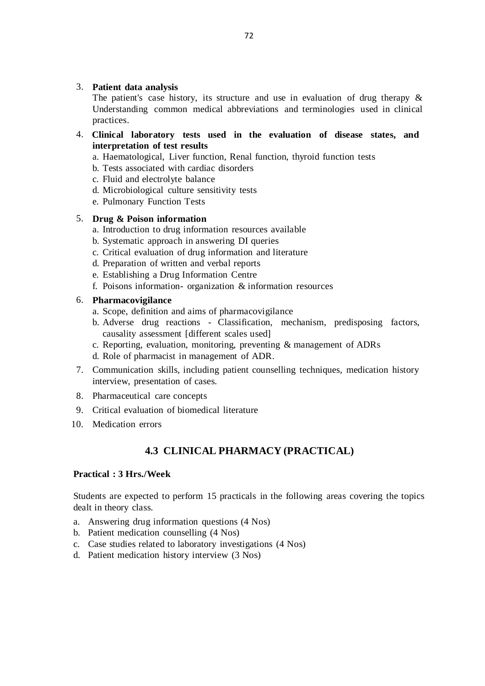#### 3. **Patient data analysis**

The patient's case history, its structure and use in evaluation of drug therapy  $\&$ Understanding common medical abbreviations and terminologies used in clinical practices.

- 4. **Clinical laboratory tests used in the evaluation of disease states, and interpretation of test results**
	- a. Haematological, Liver function, Renal function, thyroid function tests
	- b. Tests associated with cardiac disorders
	- c. Fluid and electrolyte balance
	- d. Microbiological culture sensitivity tests
	- e. Pulmonary Function Tests

# 5. **Drug & Poison information**

- a. Introduction to drug information resources available
- b. Systematic approach in answering DI queries
- c. Critical evaluation of drug information and literature
- d. Preparation of written and verbal reports
- e. Establishing a Drug Information Centre
- f. Poisons information- organization & information resources

# 6. **Pharmacovigilance**

- a. Scope, definition and aims of pharmacovigilance
- b. Adverse drug reactions Classification, mechanism, predisposing factors, causality assessment [different scales used]
- c. Reporting, evaluation, monitoring, preventing & management of ADRs
- d. Role of pharmacist in management of ADR.
- 7. Communication skills, including patient counselling techniques, medication history interview, presentation of cases.
- 8. Pharmaceutical care concepts
- 9. Critical evaluation of biomedical literature
- 10. Medication errors

# **4.3 CLINICAL PHARMACY (PRACTICAL)**

# **Practical : 3 Hrs./Week**

Students are expected to perform 15 practicals in the following areas covering the topics dealt in theory class.

- a. Answering drug information questions (4 Nos)
- b. Patient medication counselling (4 Nos)
- c. Case studies related to laboratory investigations (4 Nos)
- d. Patient medication history interview (3 Nos)